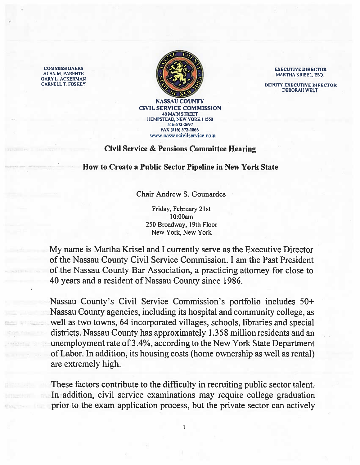GARYL ACKERMAN



MARTHA KRISEL, ESQ.

DEBORAh WELT

NASSAU COUNTY CIVIL SERVICE COMMISSION 40 MAIN STREET HEMPSTEAD, NEW YORK 11550 516-572-2697 FAX (516) 572-1863 www.nassaucivilservice.com

## Civil Service & Pensions Committee Hearing

## How to Create <sup>a</sup> Public Sector Pipeline in New York State

Chair Andrew S. Gounardes

Friday, February 21st 10:00am 250 Broadway, 19th Floor New York, New York

My name is Martha Krisel and I currently serve as the Executive Director of the Nassau County Civil Service Commission. I am the Past President of the Nassau County Bar Association, <sup>a</sup> practicing attorney for close to 40 years and <sup>a</sup> resident of Nassau County since 1986.

Nassau County's Civil Service Commission's portfolio includes 50+ Nassau County agencies, including its hospital and community college, as well as two towns, 64 incorporated villages, schools, libraries and special districts. Nassau County has approximately 1.358 million residents and an unemployment rate of 3.4%, according to the New York State Department of Labor. In addition, its housing costs (home ownership as well as rental) are extremely high.

These factors contribute to the difficulty in recruiting public sector talent. In addition, civil service examinations may require college graduation prior to the exam application process, but the private sector can actively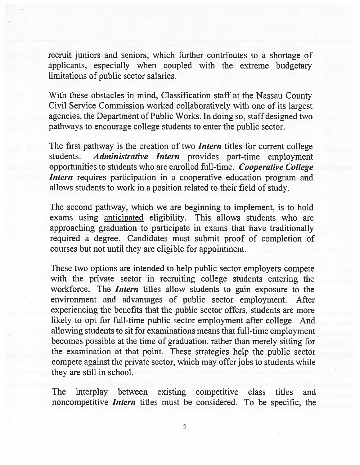recruit juniors and seniors, which further contributes to <sup>a</sup> shortage of applicants, especially when coupled with the extreme budgetary limitations of public sector salaries.

With these obstacles in mind, Classification staff at the Nassau County Civil Service Commission worked collaboratively with one of its largest agencies, the Department of Public Works. In doing so, staff designed two pathways to encourage college students to enter the public sector.

The first pathway is the creation of two *Intern* titles for current college students. Administrative Intern provides part-time employment opportunities to students who are enrolled full-time. Cooperative College Intern requires participation in a cooperative education program and allows students to work in <sup>a</sup> position related to their field of study.

The second pathway, which we are beginning to implement, is to hold exams using anticipated eligibility. This allows students who are approaching graduation to participate in exams that have traditionally required <sup>a</sup> degree. Candidates must submit proof of completion of courses but not until they are eligible for appointment.

These two options are intended to help public sector employers compete with the private sector in recruiting college students entering the workforce. The *Intern* titles allow students to gain exposure to the environment and advantages of public sector employment. After experiencing the benefits that the public sector offers, students are more likely to op<sup>t</sup> for full-time public sector employment after college. And allowing students to sit for examinations means that full-time employment becomes possible at the time of graduation, rather than merely sitting for the examination at that point. These strategies help the public sector compete against the private sector, which may offer jobs to students while they are still in school.

The interplay between existing competitive class titles and noncompetitive Intern titles must be considered. To be specific, the

 $\overline{2}$